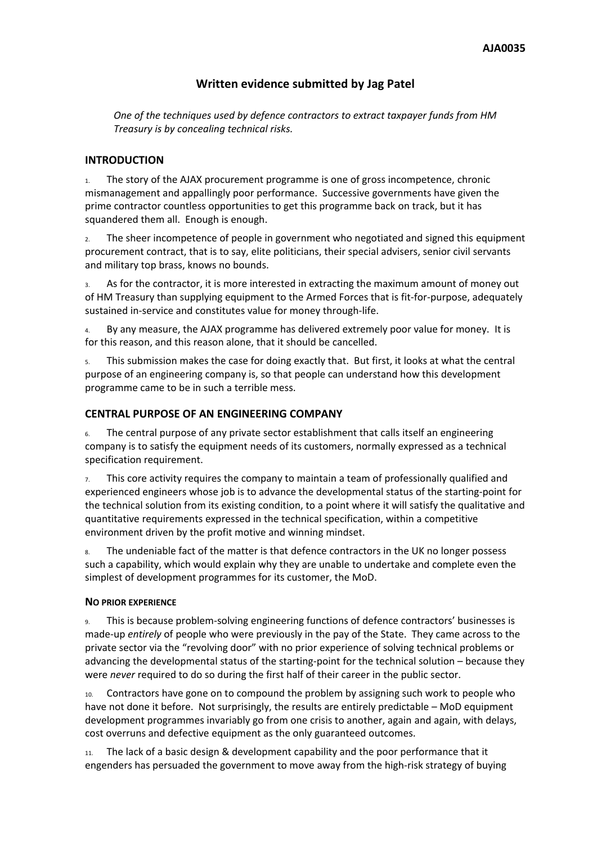# **Written evidence submitted by Jag Patel**

*One of the techniques used by defence contractors to extract taxpayer funds from HM Treasury is by concealing technical risks.*

#### **INTRODUCTION**

1. The story of the AJAX procurement programme is one of gross incompetence, chronic mismanagement and appallingly poor performance. Successive governments have given the prime contractor countless opportunities to get this programme back on track, but it has squandered them all. Enough is enough.

2. The sheer incompetence of people in government who negotiated and signed this equipment procurement contract, that is to say, elite politicians, their special advisers, senior civil servants and military top brass, knows no bounds.

As for the contractor, it is more interested in extracting the maximum amount of money out of HM Treasury than supplying equipment to the Armed Forces that is fit-for-purpose, adequately sustained in-service and constitutes value for money through-life.

4. By any measure, the AJAX programme has delivered extremely poor value for money. It is for this reason, and this reason alone, that it should be cancelled.

5. This submission makes the case for doing exactly that. But first, it looks at what the central purpose of an engineering company is, so that people can understand how this development programme came to be in such a terrible mess.

#### **CENTRAL PURPOSE OF AN ENGINEERING COMPANY**

6. The central purpose of any private sector establishment that calls itself an engineering company is to satisfy the equipment needs of its customers, normally expressed as a technical specification requirement.

 $7.$  This core activity requires the company to maintain a team of professionally qualified and experienced engineers whose job is to advance the developmental status of the starting-point for the technical solution from its existing condition, to a point where it will satisfy the qualitative and quantitative requirements expressed in the technical specification, within a competitive environment driven by the profit motive and winning mindset.

8. The undeniable fact of the matter is that defence contractors in the UK no longer possess such a capability, which would explain why they are unable to undertake and complete even the simplest of development programmes for its customer, the MoD.

#### **NO PRIOR EXPERIENCE**

9. This is because problem-solving engineering functions of defence contractors' businesses is made-up *entirely* of people who were previously in the pay of the State. They came across to the private sector via the "revolving door" with no prior experience of solving technical problems or advancing the developmental status of the starting-point for the technical solution – because they were *never* required to do so during the first half of their career in the public sector.

10. Contractors have gone on to compound the problem by assigning such work to people who have not done it before. Not surprisingly, the results are entirely predictable – MoD equipment development programmes invariably go from one crisis to another, again and again, with delays, cost overruns and defective equipment as the only guaranteed outcomes.

11. The lack of a basic design & development capability and the poor performance that it engenders has persuaded the government to move away from the high-risk strategy of buying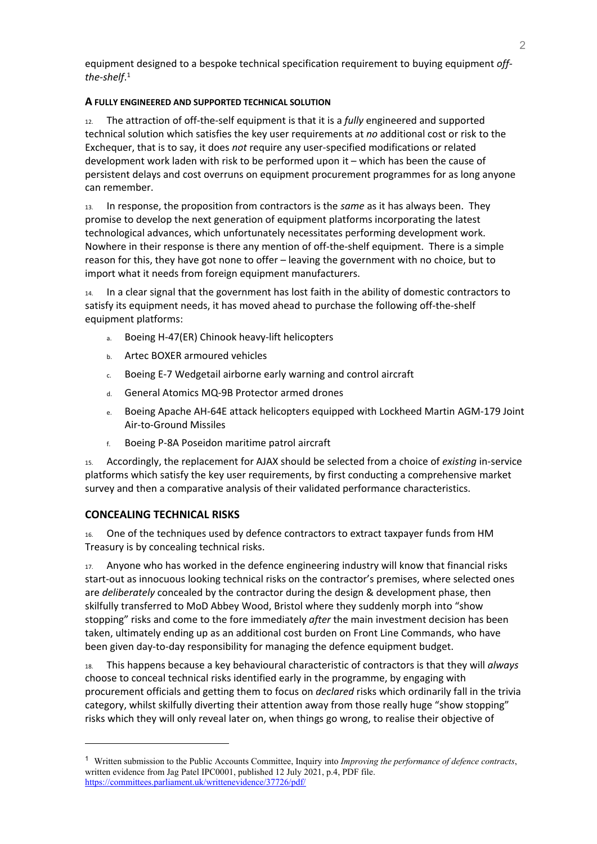equipment designed to a bespoke technical specification requirement to buying equipment *offthe-shelf*. 1

### **A FULLY ENGINEERED AND SUPPORTED TECHNICAL SOLUTION**

12. The attraction of off-the-self equipment is that it is a *fully* engineered and supported technical solution which satisfies the key user requirements at *no* additional cost or risk to the Exchequer, that is to say, it does *not* require any user-specified modifications or related development work laden with risk to be performed upon it – which has been the cause of persistent delays and cost overruns on equipment procurement programmes for as long anyone can remember.

13. In response, the proposition from contractors is the *same* as it has always been. They promise to develop the next generation of equipment platforms incorporating the latest technological advances, which unfortunately necessitates performing development work. Nowhere in their response is there any mention of off-the-shelf equipment. There is a simple reason for this, they have got none to offer – leaving the government with no choice, but to import what it needs from foreign equipment manufacturers.

14. In a clear signal that the government has lost faith in the ability of domestic contractors to satisfy its equipment needs, it has moved ahead to purchase the following off-the-shelf equipment platforms:

- a. Boeing H-47(ER) Chinook heavy-lift helicopters
- b. Artec BOXER armoured vehicles
- c. Boeing E-7 Wedgetail airborne early warning and control aircraft
- d. General Atomics MQ-9B Protector armed drones
- e. Boeing Apache AH-64E attack helicopters equipped with Lockheed Martin AGM-179 Joint Air-to-Ground Missiles
- f. Boeing P-8A Poseidon maritime patrol aircraft

15. Accordingly, the replacement for AJAX should be selected from a choice of *existing* in-service platforms which satisfy the key user requirements, by first conducting a comprehensive market survey and then a comparative analysis of their validated performance characteristics.

# **CONCEALING TECHNICAL RISKS**

16. One of the techniques used by defence contractors to extract taxpayer funds from HM Treasury is by concealing technical risks.

17. Anyone who has worked in the defence engineering industry will know that financial risks start-out as innocuous looking technical risks on the contractor's premises, where selected ones are *deliberately* concealed by the contractor during the design & development phase, then skilfully transferred to MoD Abbey Wood, Bristol where they suddenly morph into "show stopping" risks and come to the fore immediately *after* the main investment decision has been taken, ultimately ending up as an additional cost burden on Front Line Commands, who have been given day-to-day responsibility for managing the defence equipment budget.

18. This happens because a key behavioural characteristic of contractors is that they will *always* choose to conceal technical risks identified early in the programme, by engaging with procurement officials and getting them to focus on *declared* risks which ordinarily fall in the trivia category, whilst skilfully diverting their attention away from those really huge "show stopping" risks which they will only reveal later on, when things go wrong, to realise their objective of

<sup>1</sup> Written submission to the Public Accounts Committee, Inquiry into *Improving the performance of defence contracts*, written evidence from Jag Patel IPC0001, published 12 July 2021, p.4, PDF file. <https://committees.parliament.uk/writtenevidence/37726/pdf/>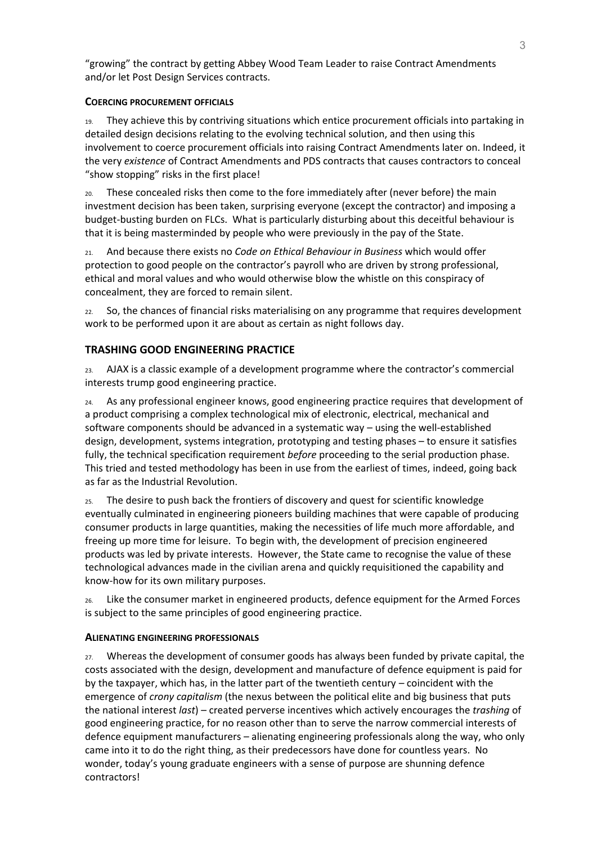"growing" the contract by getting Abbey Wood Team Leader to raise Contract Amendments and/or let Post Design Services contracts.

#### **COERCING PROCUREMENT OFFICIALS**

19. They achieve this by contriving situations which entice procurement officials into partaking in detailed design decisions relating to the evolving technical solution, and then using this involvement to coerce procurement officials into raising Contract Amendments later on. Indeed, it the very *existence* of Contract Amendments and PDS contracts that causes contractors to conceal "show stopping" risks in the first place!

20. These concealed risks then come to the fore immediately after (never before) the main investment decision has been taken, surprising everyone (except the contractor) and imposing a budget-busting burden on FLCs. What is particularly disturbing about this deceitful behaviour is that it is being masterminded by people who were previously in the pay of the State.

21. And because there exists no *Code on Ethical Behaviour in Business* which would offer protection to good people on the contractor's payroll who are driven by strong professional, ethical and moral values and who would otherwise blow the whistle on this conspiracy of concealment, they are forced to remain silent.

22. So, the chances of financial risks materialising on any programme that requires development work to be performed upon it are about as certain as night follows day.

# **TRASHING GOOD ENGINEERING PRACTICE**

23. AJAX is a classic example of a development programme where the contractor's commercial interests trump good engineering practice.

24. As any professional engineer knows, good engineering practice requires that development of a product comprising a complex technological mix of electronic, electrical, mechanical and software components should be advanced in a systematic way – using the well-established design, development, systems integration, prototyping and testing phases – to ensure it satisfies fully, the technical specification requirement *before* proceeding to the serial production phase. This tried and tested methodology has been in use from the earliest of times, indeed, going back as far as the Industrial Revolution.

25. The desire to push back the frontiers of discovery and quest for scientific knowledge eventually culminated in engineering pioneers building machines that were capable of producing consumer products in large quantities, making the necessities of life much more affordable, and freeing up more time for leisure. To begin with, the development of precision engineered products was led by private interests. However, the State came to recognise the value of these technological advances made in the civilian arena and quickly requisitioned the capability and know-how for its own military purposes.

26. Like the consumer market in engineered products, defence equipment for the Armed Forces is subject to the same principles of good engineering practice.

#### **ALIENATING ENGINEERING PROFESSIONALS**

27. Whereas the development of consumer goods has always been funded by private capital, the costs associated with the design, development and manufacture of defence equipment is paid for by the taxpayer, which has, in the latter part of the twentieth century – coincident with the emergence of *crony capitalism* (the nexus between the political elite and big business that puts the national interest *last*) – created perverse incentives which actively encourages the *trashing* of good engineering practice, for no reason other than to serve the narrow commercial interests of defence equipment manufacturers – alienating engineering professionals along the way, who only came into it to do the right thing, as their predecessors have done for countless years. No wonder, today's young graduate engineers with a sense of purpose are shunning defence contractors!